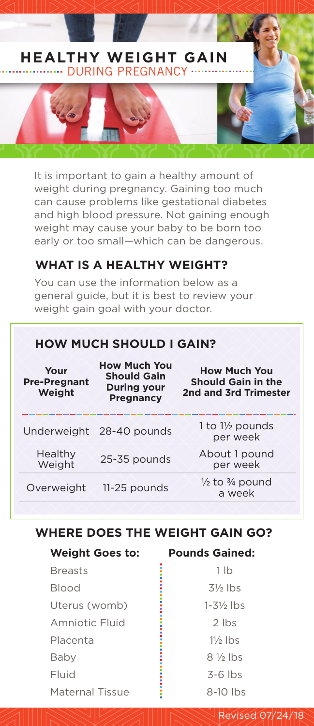# **HEALTHY WEIGHT GAIN**  .... DURING PREGNANCY ....

It is important to gain a healthy amount of weight during pregnancy. Gaining too much can cause problems like gestational diabetes and high blood pressure. Not gaining enough weight may cause your baby to be born too early or too small—which can be dangerous.

## **WHAT IS A HEALTHY WEIGHT?**

You can use the information below as a general guide, but it is best to review your weight gain goal with your doctor.

# **HOW MUCH SHOULD I GAIN?**

| <b>How Much You</b><br><b>Should Gain</b><br><b>During your</b><br><b>Pregnancy</b> | <b>How Much You</b><br><b>Should Gain in the</b><br>2nd and 3rd Trimester |
|-------------------------------------------------------------------------------------|---------------------------------------------------------------------------|
| Underweight 28-40 pounds                                                            | 1 to $1\frac{1}{2}$ pounds<br>per week                                    |
| 25-35 pounds                                                                        | About 1 pound<br>per week                                                 |
| 11-25 pounds                                                                        | $\frac{1}{2}$ to $\frac{3}{4}$ pound<br>a week                            |
|                                                                                     |                                                                           |

## **WHERE DOES THE WEIGHT GAIN GO?**

| <b>Weight Goes to:</b> | <b>Pounds Gained:</b>  |
|------------------------|------------------------|
| <b>Breasts</b>         | 1 lb                   |
| <b>Blood</b>           | $3\frac{1}{2}$ lbs     |
| Uterus (womb)          | $1 - 3\frac{1}{2}$ lbs |
| Amniotic Fluid         | $2$ lbs                |
| Placenta               | $1\frac{1}{2}$ lbs     |
| Baby                   | $8\frac{1}{3}$ lbs     |
| Fluid                  | $3-6$ lbs              |
| Maternal Tissue        | $8-10$ lbs             |

Revised 07/24/18